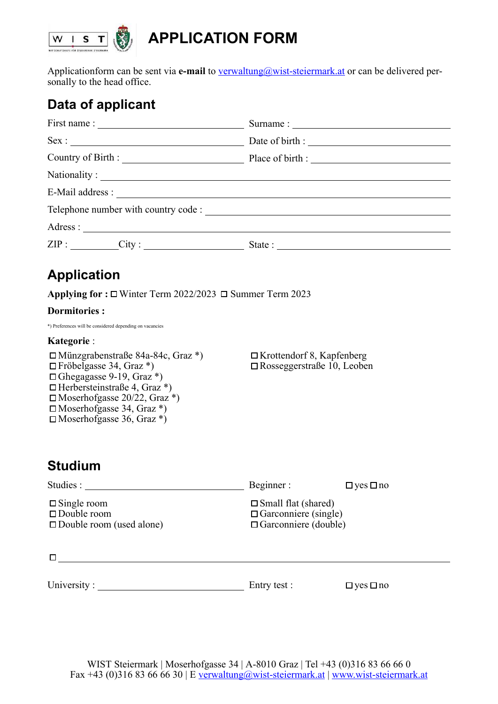

# **APPLICATION FORM**

Applicationform can be sent via **e-mail** to [verwaltung@wist-steiermark.at](mailto:verwaltung@wist-steiermark.at) or can be delivered personally to the head office.

# **Data of applicant**

|          | Country of Birth : Place of birth : |
|----------|-------------------------------------|
|          |                                     |
|          |                                     |
|          |                                     |
| Adress : |                                     |
|          |                                     |

## **Application**

**Applying for : □** Winter Term 2022/2023 □ Summer Term 2023

#### **Dormitories :**

\*) Preferences will be considered depending on vacancies

#### **Kategorie** :

Münzgrabenstraße 84a-84c, Graz \*) Fröbelgasse 34, Graz \*)  $\Box$  Ghegagasse 9-19, Graz \*)  $\Box$  Herbersteinstraße 4, Graz \*)  $\square$  Moserhofgasse 20/22, Graz \*)  $\square$  Moserhofgasse 34, Graz \*)  $\square$  Moserhofgasse 36, Graz \*)

 $\Box$ Krottendorf 8, Kapfenberg Rosseggerstraße 10, Leoben

### **Studium**

| Studies :                                                                            | Beginner:                                                                                   | $\Box$ yes $\Box$ no |
|--------------------------------------------------------------------------------------|---------------------------------------------------------------------------------------------|----------------------|
| $\square$ Single room<br>$\square$ Double room<br>$\square$ Double room (used alone) | $\square$ Small flat (shared)<br>$\Box$ Garconniere (single)<br>$\Box$ Garconniere (double) |                      |
|                                                                                      |                                                                                             |                      |
| University:                                                                          | Entry test :                                                                                | $\Box$ yes $\Box$ no |